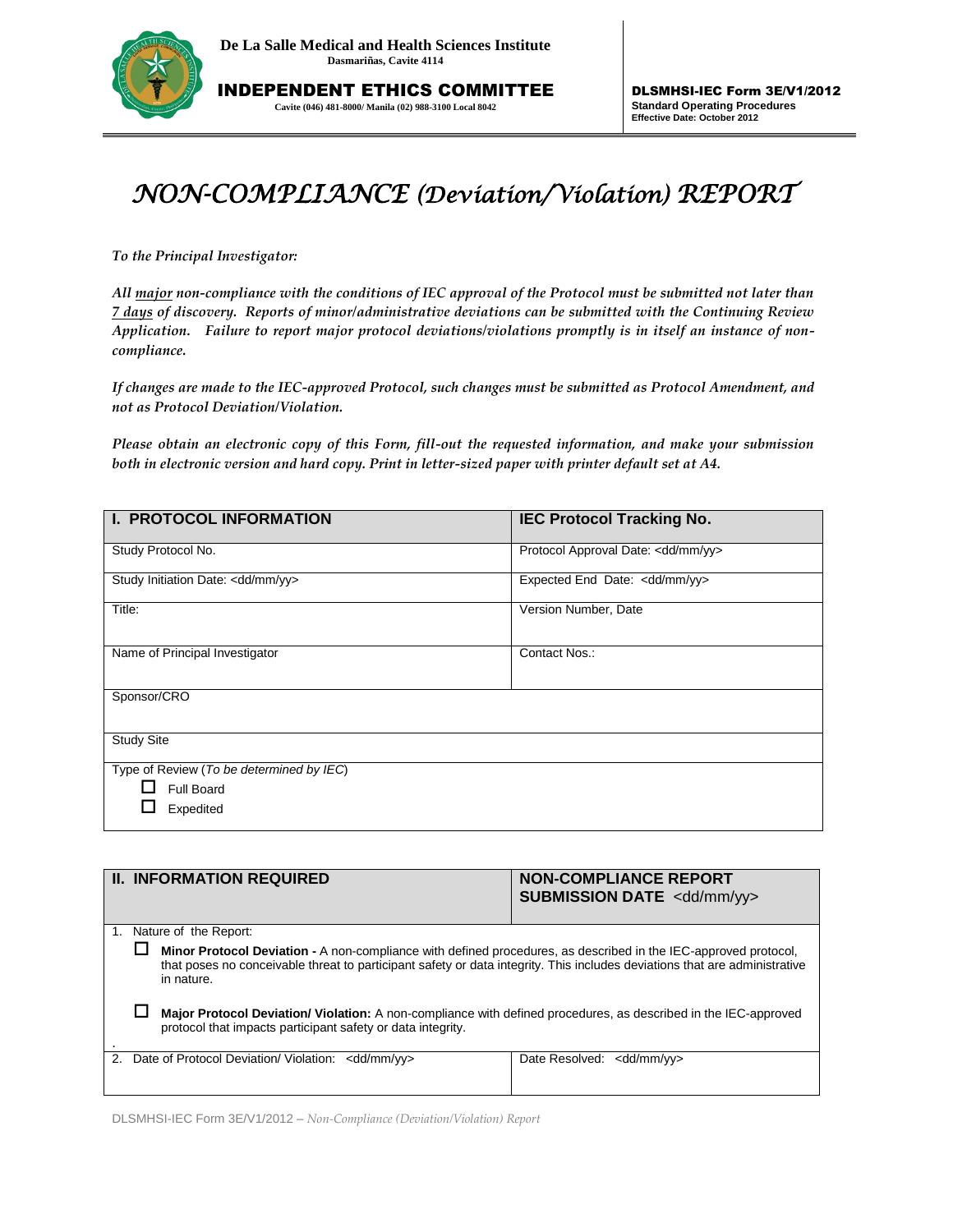

INDEPENDENT ETHICS COMMITTEE **Cavite (046) 481-8000/ Manila (02) 988-3100 Local 8042**

## *NON-COMPLIANCE (Deviation/Violation) REPORT*

*To the Principal Investigator:* 

*All major non-compliance with the conditions of IEC approval of the Protocol must be submitted not later than 7 days of discovery. Reports of minor/administrative deviations can be submitted with the Continuing Review Application. Failure to report major protocol deviations/violations promptly is in itself an instance of noncompliance.*

*If changes are made to the IEC-approved Protocol, such changes must be submitted as Protocol Amendment, and not as Protocol Deviation/Violation.* 

*Please obtain an electronic copy of this Form, fill-out the requested information, and make your submission both in electronic version and hard copy. Print in letter-sized paper with printer default set at A4.*

| <b>I. PROTOCOL INFORMATION</b>               | <b>IEC Protocol Tracking No.</b>         |  |  |  |  |
|----------------------------------------------|------------------------------------------|--|--|--|--|
| Study Protocol No.                           | Protocol Approval Date: < dd/mm/yy>      |  |  |  |  |
| Study Initiation Date: <dd mm="" yy=""></dd> | Expected End Date: <dd mm="" yy=""></dd> |  |  |  |  |
| Title:                                       | Version Number, Date                     |  |  |  |  |
| Name of Principal Investigator               | Contact Nos.:                            |  |  |  |  |
| Sponsor/CRO                                  |                                          |  |  |  |  |
| <b>Study Site</b>                            |                                          |  |  |  |  |
| Type of Review (To be determined by IEC)     |                                          |  |  |  |  |
| <b>Full Board</b>                            |                                          |  |  |  |  |
| Expedited                                    |                                          |  |  |  |  |

| <b>II. INFORMATION REQUIRED</b> |                                                                                                                                                                                                                                                             |                                                              | <b>NON-COMPLIANCE REPORT</b><br><b>SUBMISSION DATE <dd mm="" yy=""></dd></b> |  |  |
|---------------------------------|-------------------------------------------------------------------------------------------------------------------------------------------------------------------------------------------------------------------------------------------------------------|--------------------------------------------------------------|------------------------------------------------------------------------------|--|--|
|                                 |                                                                                                                                                                                                                                                             |                                                              |                                                                              |  |  |
|                                 | 1. Nature of the Report:                                                                                                                                                                                                                                    |                                                              |                                                                              |  |  |
|                                 | Minor Protocol Deviation - A non-compliance with defined procedures, as described in the IEC-approved protocol,<br>that poses no conceivable threat to participant safety or data integrity. This includes deviations that are administrative<br>in nature. |                                                              |                                                                              |  |  |
|                                 | Major Protocol Deviation/ Violation: A non-compliance with defined procedures, as described in the IEC-approved<br>protocol that impacts participant safety or data integrity.                                                                              |                                                              |                                                                              |  |  |
| 2.                              |                                                                                                                                                                                                                                                             | Date of Protocol Deviation/ Violation: <dd mm="" yy=""></dd> | Date Resolved: <dd mm="" vv=""></dd>                                         |  |  |

DLSMHSI-IEC Form 3E/V1/2012 – *Non-Compliance (Deviation/Violation) Report*